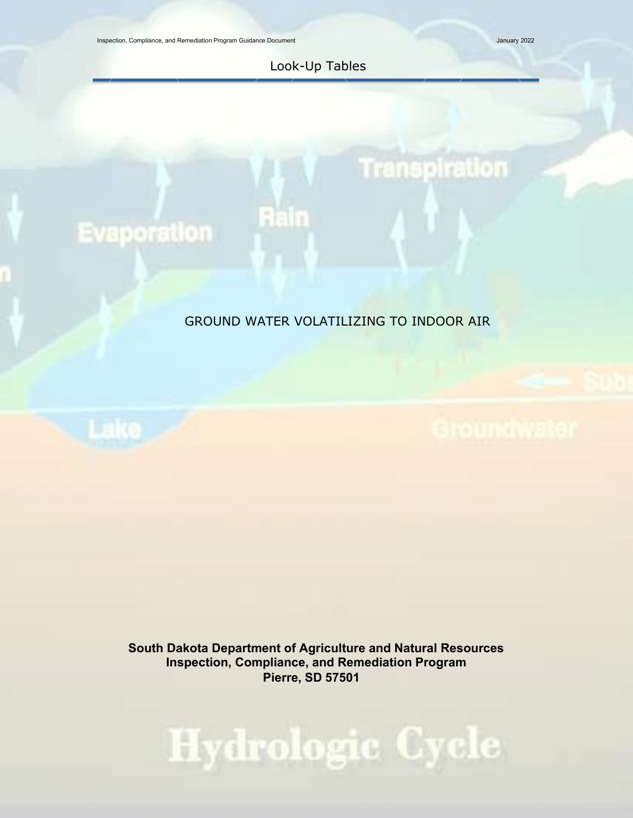Inspection, Compliance, and Remediation Program Guidance Document January 2022

Transpiration

Look-Up Tables

Rain

# **Evaporation**

## GROUND WATER VOLATILIZING TO INDOOR AIR

**South Dakota Department of Agriculture and Natural Resources Inspection, Compliance, and Remediation Program Pierre, SD 57501**

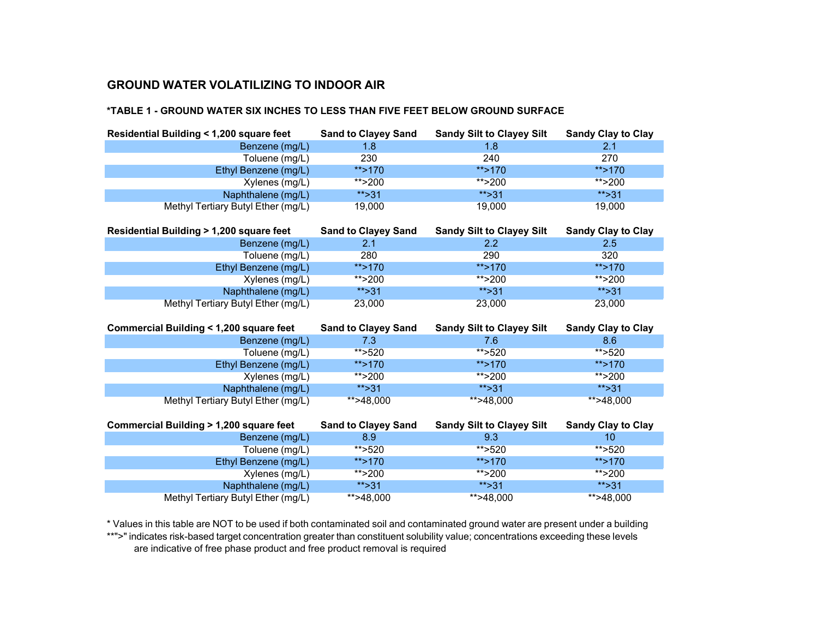#### **\*TABLE 1 - GROUND WATER SIX INCHES TO LESS THAN FIVE FEET BELOW GROUND SURFACE**

| Residential Building < 1,200 square feet          | <b>Sand to Clayey Sand</b> | <b>Sandy Silt to Clayey Silt</b> | <b>Sandy Clay to Clay</b> |
|---------------------------------------------------|----------------------------|----------------------------------|---------------------------|
| Benzene (mg/L)                                    | 1.8                        | 1.8                              | 2.1                       |
| Toluene (mg/L)                                    | 230                        | 240                              | 270                       |
| Ethyl Benzene (mg/L)                              | **>170                     | **>170                           | **>170                    |
| Xylenes (mg/L)                                    | ** $>200$                  | ** $>200$                        | ** $>200$                 |
| Naphthalene (mg/L)                                | ** $>31$                   | ** $>31$                         | ** $>31$                  |
| Methyl Tertiary Butyl Ether (mg/L)                | 19,000                     | 19,000                           | 19,000                    |
| Residential Building > 1,200 square feet          | <b>Sand to Clayey Sand</b> | <b>Sandy Silt to Clayey Silt</b> | <b>Sandy Clay to Clay</b> |
| Benzene (mg/L)                                    | 2.1                        | 2.2                              | 2.5                       |
| Toluene (mg/L)                                    | 280                        | 290                              | 320                       |
| Ethyl Benzene (mg/L)                              | **>170                     | ** $>170$                        | **>170                    |
| Xylenes (mg/L)                                    | **>200                     | ** $>200$                        | ** $>200$                 |
| Naphthalene (mg/L)                                | ** $>31$                   | ** $>31$                         | ** $>31$                  |
| Methyl Tertiary Butyl Ether (mg/L)                | 23,000                     | 23,000                           | 23,000                    |
|                                                   |                            |                                  |                           |
| Commercial Building < 1,200 square feet           | <b>Sand to Clayey Sand</b> | <b>Sandy Silt to Clayey Silt</b> | <b>Sandy Clay to Clay</b> |
| Benzene (mg/L)                                    | 7.3                        | 7.6                              | 8.6                       |
| Toluene (mg/L)                                    | ** $>520$                  | ** $>520$                        | **>520                    |
| Ethyl Benzene (mg/L)                              | ** $>170$                  | ** $>170$                        | ** $>170$                 |
| Xylenes (mg/L)                                    | **>200                     | ** $>200$                        | ** $>200$                 |
| Naphthalene (mg/L)                                | ** $>31$                   | $** > 31$                        | ** $>31$                  |
| Methyl Tertiary Butyl Ether (mg/L)                | **>48,000                  | **>48,000                        | **>48,000                 |
| <b>Commercial Building &gt; 1,200 square feet</b> | <b>Sand to Clayey Sand</b> | <b>Sandy Silt to Clayey Silt</b> | <b>Sandy Clay to Clay</b> |
| Benzene (mg/L)                                    | 8.9                        | 9.3                              | 10                        |
| Toluene (mg/L)                                    | ** $>520$                  | ** $>520$                        | ** $>520$                 |
| Ethyl Benzene (mg/L)                              | **>170                     | ** $>170$                        | $**$ >170                 |
| Xylenes (mg/L)                                    | **>200                     | **>200                           | **>200                    |

Naphthalene (mg/L) \*\*>31 \*\*>31 \*\*>31 Methyl Tertiary Butyl Ether (mg/L)

\* Values in this table are NOT to be used if both contaminated soil and contaminated ground water are present under a building

\*\*">" indicates risk-based target concentration greater than constituent solubility value; concentrations exceeding these levels are indicative of free phase product and free product removal is required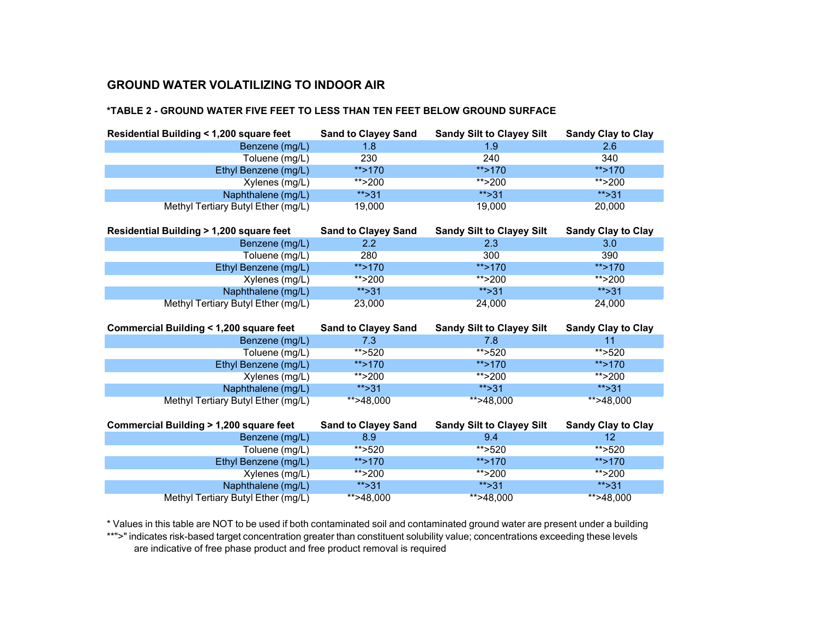Methyl Tertiary Butyl Ether (mg/L)

#### **\*TABLE 2 - GROUND WATER FIVE FEET TO LESS THAN TEN FEET BELOW GROUND SURFACE**

| Residential Building < 1,200 square feet          | <b>Sand to Clayey Sand</b>        | <b>Sandy Silt to Clayey Silt</b>        | <b>Sandy Clay to Clay</b>       |
|---------------------------------------------------|-----------------------------------|-----------------------------------------|---------------------------------|
| Benzene (mg/L)                                    | 1.8                               | 1.9                                     | 2.6                             |
| Toluene (mg/L)                                    | 230                               | 240                                     | 340                             |
| Ethyl Benzene (mg/L)                              | **>170                            | **>170                                  | **>170                          |
| Xylenes (mg/L)                                    | ** $>200$                         | ** $>200$                               | ** $>200$                       |
| Naphthalene (mg/L)                                | ** $>31$                          | ** $>31$                                | ** $>31$                        |
| Methyl Tertiary Butyl Ether (mg/L)                | 19,000                            | 19,000                                  | 20,000                          |
| Residential Building > 1,200 square feet          | <b>Sand to Clayey Sand</b>        | <b>Sandy Silt to Clayey Silt</b>        | <b>Sandy Clay to Clay</b>       |
| Benzene (mg/L)                                    | 2.2                               | 2.3                                     | 3.0                             |
| Toluene (mg/L)                                    | 280                               | 300                                     | 390                             |
| Ethyl Benzene (mg/L)                              | **>170                            | **>170                                  | **>170                          |
| Xylenes (mg/L)                                    | ** $>200$                         | ** $>200$                               | **>200                          |
| Naphthalene (mg/L)                                | ** $>31$                          | ** $>31$                                | ** $>31$                        |
| Methyl Tertiary Butyl Ether (mg/L)                | 23,000                            | 24,000                                  | 24,000                          |
|                                                   |                                   |                                         |                                 |
| <b>Commercial Building &lt; 1,200 square feet</b> | <b>Sand to Clayey Sand</b>        | <b>Sandy Silt to Clayey Silt</b>        | <b>Sandy Clay to Clay</b>       |
| Benzene (mg/L)                                    | 7.3                               | 7.8                                     | 11                              |
| Toluene (mg/L)                                    | ** $>520$                         | ** $>520$                               | ** $>520$                       |
| Ethyl Benzene (mg/L)                              | ** $>170$                         | $**$ >170                               | ** $>170$                       |
| Xylenes (mg/L)                                    | ** $>200$                         | ** $>200$                               | **>200                          |
| Naphthalene (mg/L)                                | ** $>31$                          | ** $>31$                                | ** $>31$                        |
| Methyl Tertiary Butyl Ether (mg/L)                | **>48,000                         | **>48,000                               | $*$ >48,000                     |
| Commercial Building > 1,200 square feet           |                                   |                                         |                                 |
|                                                   | <b>Sand to Clayey Sand</b><br>8.9 | <b>Sandy Silt to Clayey Silt</b><br>9.4 | <b>Sandy Clay to Clay</b><br>12 |
| Benzene (mg/L)<br>Toluene (mg/L)                  | ** $>520$                         | ** $>520$                               | **>520                          |
| Ethyl Benzene (mg/L)                              | **>170                            | $**$ >170                               | ** $>170$                       |

\* Values in this table are NOT to be used if both contaminated soil and contaminated ground water are present under a building \*\*">" indicates risk-based target concentration greater than constituent solubility value; concentrations exceeding these levels are indicative of free phase product and free product removal is required

Naphthalene (mg/L) \*\*>31 \*\*>31 \*\*>31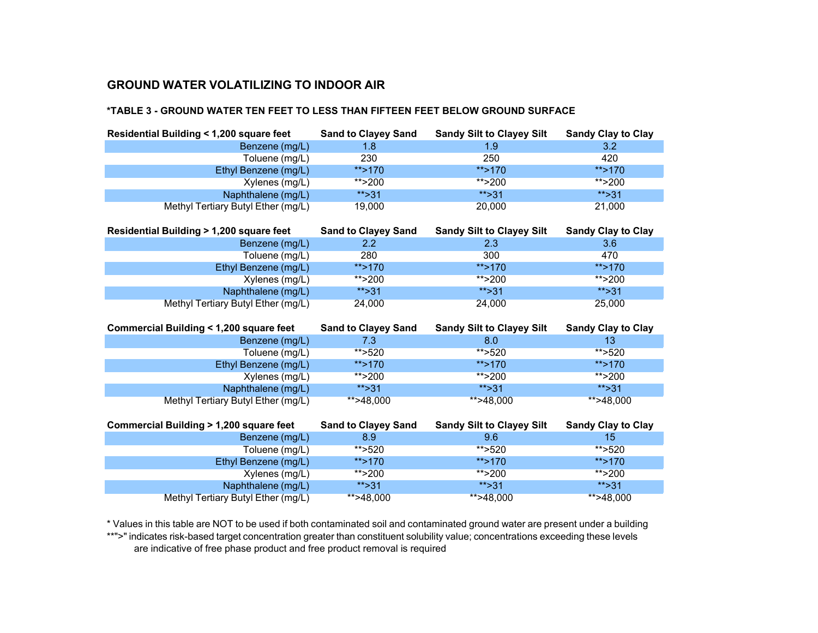#### **\*TABLE 3 - GROUND WATER TEN FEET TO LESS THAN FIFTEEN FEET BELOW GROUND SURFACE**

| Residential Building < 1,200 square feet          | <b>Sand to Clayey Sand</b> | <b>Sandy Silt to Clayey Silt</b> | <b>Sandy Clay to Clay</b> |
|---------------------------------------------------|----------------------------|----------------------------------|---------------------------|
| Benzene (mg/L)                                    | 1.8                        | 1.9                              | 3.2                       |
| Toluene (mg/L)                                    | 230                        | 250                              | 420                       |
| Ethyl Benzene (mg/L)                              | **>170                     | ** $>170$                        | $**$ >170                 |
| Xylenes (mg/L)                                    | ** $>200$                  | ** $>200$                        | ** $>200$                 |
| Naphthalene (mg/L)                                | ** $>31$                   | ** $>31$                         | ** $>31$                  |
| Methyl Tertiary Butyl Ether (mg/L)                | 19,000                     | 20,000                           | 21,000                    |
| Residential Building > 1,200 square feet          | <b>Sand to Clayey Sand</b> | <b>Sandy Silt to Clayey Silt</b> | <b>Sandy Clay to Clay</b> |
| Benzene (mg/L)                                    | 2.2                        | 2.3                              | 3.6                       |
| Toluene (mg/L)                                    | 280                        | 300                              | 470                       |
| Ethyl Benzene (mg/L)                              | **>170                     | ** $>170$                        | **>170                    |
| Xylenes (mg/L)                                    | **>200                     | ** $>200$                        | ** $>200$                 |
| Naphthalene (mg/L)                                | ** $>31$                   | ** $>31$                         | ** $>31$                  |
| Methyl Tertiary Butyl Ether (mg/L)                | 24,000                     | 24,000                           | 25,000                    |
| <b>Commercial Building &lt; 1,200 square feet</b> | <b>Sand to Clayey Sand</b> | <b>Sandy Silt to Clayey Silt</b> | <b>Sandy Clay to Clay</b> |
| Benzene (mg/L)                                    | 7.3                        | 8.0                              | 13                        |
|                                                   |                            |                                  |                           |
| Toluene (mg/L)                                    | **>520                     | ** $>520$                        | **>520                    |
| Ethyl Benzene (mg/L)                              | **>170                     | ** $>170$                        | $**$ >170                 |
| Xylenes (mg/L)                                    | ** $>200$                  | ** $>200$                        | ** $>200$                 |
| Naphthalene (mg/L)                                | ** $>31$                   | ** $>31$                         | ** $>31$                  |
| Methyl Tertiary Butyl Ether (mg/L)                | $*$ >48,000                | **>48,000                        | **>48,000                 |
| Commercial Building > 1,200 square feet           | <b>Sand to Clayey Sand</b> | <b>Sandy Silt to Clayey Silt</b> | <b>Sandy Clay to Clay</b> |
| Benzene (mg/L)                                    | 8.9                        | 9.6                              | 15                        |
| Toluene (mg/L)                                    | ** $>520$                  | ** $>520$                        | ** $>520$                 |

Xylenes (mg/L) \*\*>200 \*\*>200 \*\*>200 Naphthalene (mg/L) \*\*>31 \*\*>31 \*\*>31 Methyl Tertiary Butyl Ether (mg/L)

\* Values in this table are NOT to be used if both contaminated soil and contaminated ground water are present under a building \*\*">" indicates risk-based target concentration greater than constituent solubility value; concentrations exceeding these levels are indicative of free phase product and free product removal is required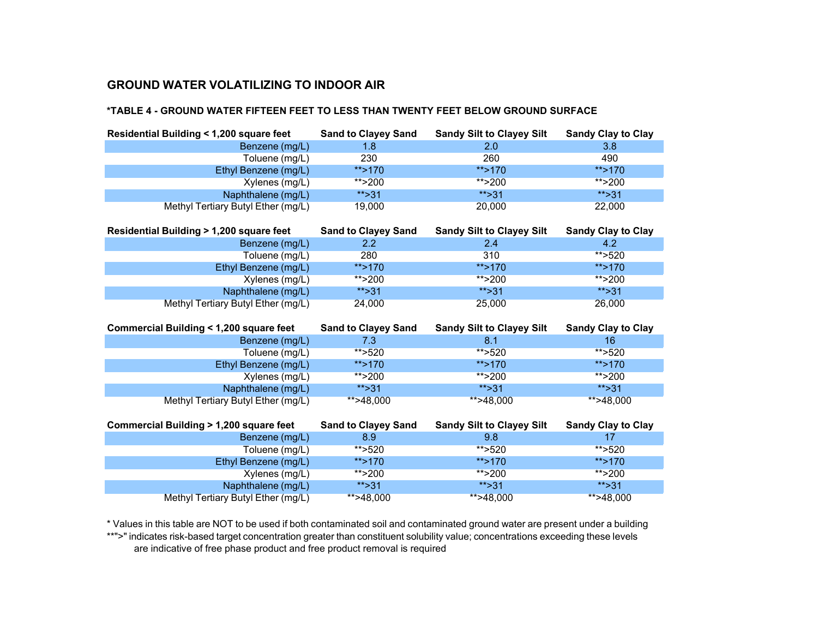#### **\*TABLE 4 - GROUND WATER FIFTEEN FEET TO LESS THAN TWENTY FEET BELOW GROUND SURFACE**

| Residential Building < 1,200 square feet          | <b>Sand to Clayey Sand</b> | <b>Sandy Silt to Clayey Silt</b> | <b>Sandy Clay to Clay</b> |
|---------------------------------------------------|----------------------------|----------------------------------|---------------------------|
| Benzene (mg/L)                                    | 1.8                        | 2.0                              | 3.8                       |
| Toluene (mg/L)                                    | 230                        | 260                              | 490                       |
| Ethyl Benzene (mg/L)                              | **>170                     | **>170                           | **>170                    |
| Xylenes (mg/L)                                    | ** $>200$                  | ** $>200$                        | ** $>200$                 |
| Naphthalene (mg/L)                                | ** $>31$                   | ** $>31$                         | ** $>31$                  |
| Methyl Tertiary Butyl Ether (mg/L)                | 19,000                     | 20,000                           | 22,000                    |
| Residential Building > 1,200 square feet          | <b>Sand to Clayey Sand</b> | <b>Sandy Silt to Clayey Silt</b> | <b>Sandy Clay to Clay</b> |
| Benzene (mg/L)                                    | $2.2^{\circ}$              | 2.4                              | 4.2                       |
| Toluene (mg/L)                                    | 280                        | 310                              | **>520                    |
| Ethyl Benzene (mg/L)                              | **>170                     | ** $>170$                        | ** $>170$                 |
| Xylenes (mg/L)                                    | ** $>200$                  | ** $>200$                        | ** $>200$                 |
| Naphthalene (mg/L)                                | **>31                      | ** $>31$                         | ** $>31$                  |
| Methyl Tertiary Butyl Ether (mg/L)                | 24,000                     | 25,000                           | 26,000                    |
| <b>Commercial Building &lt; 1,200 square feet</b> | <b>Sand to Clayey Sand</b> | <b>Sandy Silt to Clayey Silt</b> | <b>Sandy Clay to Clay</b> |
| Benzene (mg/L)                                    | 7.3                        |                                  | 16                        |
|                                                   |                            | 8.1                              |                           |
| Toluene (mg/L)                                    | **>520                     | ** $>520$                        | ** $>520$                 |
| Ethyl Benzene (mg/L)                              | **>170                     | $**$ >170                        | ** $>170$                 |
| Xylenes (mg/L)                                    | **>200                     | ** $>200$                        | ** $>200$                 |
| Naphthalene (mg/L)                                | ** $>31$                   | ** $>31$                         | ** $>31$                  |
| Methyl Tertiary Butyl Ether (mg/L)                | **>48,000                  | **>48,000                        | **>48,000                 |
| <b>Commercial Building &gt; 1,200 square feet</b> | <b>Sand to Clayey Sand</b> | <b>Sandy Silt to Clayey Silt</b> | <b>Sandy Clay to Clay</b> |
| Benzene (mg/L)                                    | 8.9                        | 9.8                              | 17                        |
| Toluene (mg/L)                                    | ** $>520$<br>**>170        | ** $>520$<br>**>170              | **>520<br>**>170          |

Xylenes (mg/L) \*\*>200 \*\*>200 \*\*>200 Naphthalene (mg/L) \*\*>31 \*\*>31 \*\*>31 Methyl Tertiary Butyl Ether (mg/L)

\* Values in this table are NOT to be used if both contaminated soil and contaminated ground water are present under a building \*\*">" indicates risk-based target concentration greater than constituent solubility value; concentrations exceeding these levels are indicative of free phase product and free product removal is required